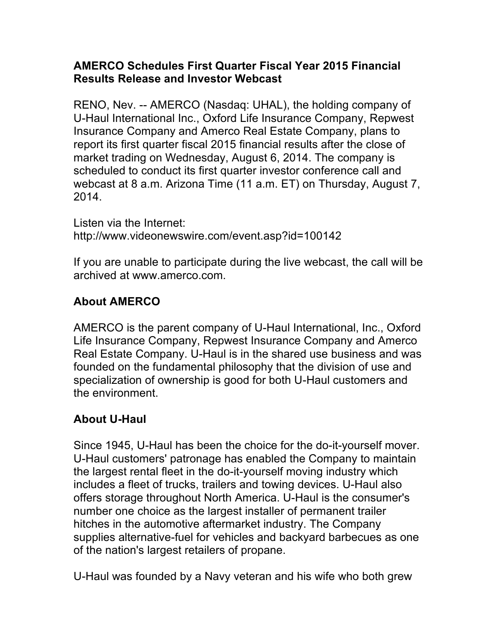## **AMERCO Schedules First Quarter Fiscal Year 2015 Financial Results Release and Investor Webcast**

RENO, Nev. -- AMERCO (Nasdaq: UHAL), the holding company of U-Haul International Inc., Oxford Life Insurance Company, Repwest Insurance Company and Amerco Real Estate Company, plans to report its first quarter fiscal 2015 financial results after the close of market trading on Wednesday, August 6, 2014. The company is scheduled to conduct its first quarter investor conference call and webcast at 8 a.m. Arizona Time (11 a.m. ET) on Thursday, August 7, 2014.

Listen via the Internet: http://www.videonewswire.com/event.asp?id=100142

If you are unable to participate during the live webcast, the call will be archived at www.amerco.com.

## **About AMERCO**

AMERCO is the parent company of U-Haul International, Inc., Oxford Life Insurance Company, Repwest Insurance Company and Amerco Real Estate Company. U-Haul is in the shared use business and was founded on the fundamental philosophy that the division of use and specialization of ownership is good for both U-Haul customers and the environment.

## **About U-Haul**

Since 1945, U-Haul has been the choice for the do-it-yourself mover. U-Haul customers' patronage has enabled the Company to maintain the largest rental fleet in the do-it-yourself moving industry which includes a fleet of trucks, trailers and towing devices. U-Haul also offers storage throughout North America. U-Haul is the consumer's number one choice as the largest installer of permanent trailer hitches in the automotive aftermarket industry. The Company supplies alternative-fuel for vehicles and backyard barbecues as one of the nation's largest retailers of propane.

U-Haul was founded by a Navy veteran and his wife who both grew